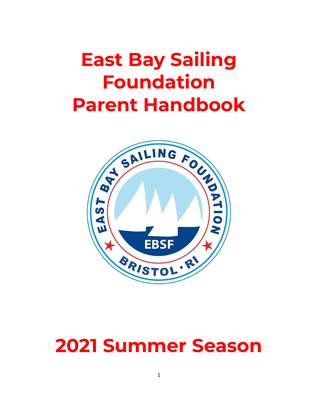# **East Bay Sailing Foundation Parent Handbook**



# **2021 Summer Season**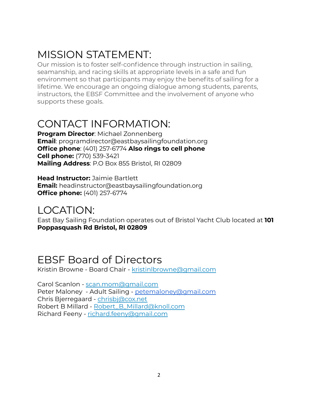## MISSION STATEMENT:

Our mission is to foster self-confidence through instruction in sailing, seamanship, and racing skills at appropriate levels in a safe and fun environment so that participants may enjoy the benefits of sailing for a lifetime. We encourage an ongoing dialogue among students, parents, instructors, the EBSF Committee and the involvement of anyone who supports these goals.

### CONTACT INFORMATION:

**Program Director**: Michael Zonnenberg **Email**: programdirector@eastbaysailingfoundation.org **Office phone**: (401) 257-6774 **Also rings to cell phone Cell phone:** (770) 539-3421 **Mailing Address**: P.O Box 855 Bristol, RI 02809

**Head Instructor:** Jaimie Bartlett **Email:** headinstructor@eastbaysailingfoundation.org **Office phone:** (401) 257-6774

### LOCATION:

East Bay Sailing Foundation operates out of Bristol Yacht Club located at **101 Poppasquash Rd Bristol, RI 02809**

### EBSF Board of Directors

Kristin Browne - Board Chair - kristinlbrowne@gmail.com

Carol Scanlon - [scan.mom@gmail.com](mailto:scan.mom@gmail.com) Peter Maloney - Adult Sailing - [petemaloney@gmail.com](mailto:petemaloney@gmail.com) Chris Bjerregaard - [chrisbj@cox.net](mailto:chrisbj@cox.net) Robert B Millard - [Robert\\_B\\_Millard@knoll.com](mailto:Robert_B_Millard@knoll.com) Richard Feeny - [richard.feeny@gmail.com](mailto:richard.feeny@gmail.com)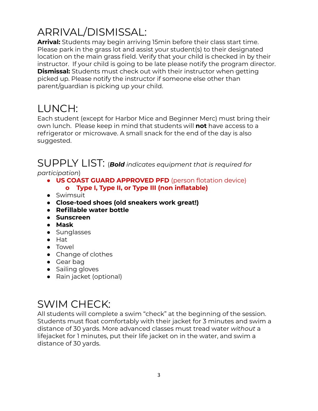# ARRIVAL/DISMISSAL:

**Arrival:** Students may begin arriving 15min before their class start time. Please park in the grass lot and assist your student(s) to their designated location on the main grass field. Verify that your child is checked in by their instructor. If your child is going to be late please notify the program director. **Dismissal:** Students must check out with their instructor when getting picked up. Please notify the instructor if someone else other than parent/guardian is picking up your child.

### LUNCH:

Each student (except for Harbor Mice and Beginner Merc) must bring their own lunch. Please keep in mind that students will **not** have access to a refrigerator or microwave. A small snack for the end of the day is also suggested.

SUPPLY LIST: (*Bold indicates equipment that is required for participation*)

- **● US COAST GUARD APPROVED PFD** (person flotation device) **o Type I, Type II, or Type III (non inflatable)**
- Swimsuit
- **● Close-toed shoes (old sneakers work great!)**
- **● Refillable water bottle**
- **● Sunscreen**
- **● Mask**
- Sunglasses
- Hat
- Towel
- Change of clothes
- Gear bag
- Sailing gloves
- Rain jacket (optional)

# SWIM CHECK:

All students will complete a swim "check" at the beginning of the session. Students must float comfortably with their jacket for 3 minutes and swim a distance of 30 yards. More advanced classes must tread water *without* a lifejacket for 1 minutes, put their life jacket on in the water, and swim a distance of 30 yards.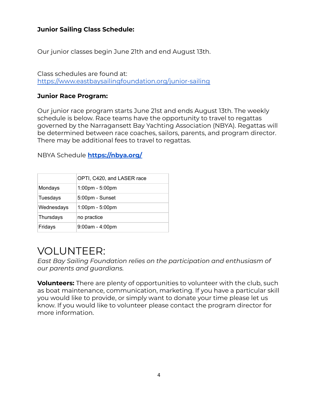#### **Junior Sailing Class Schedule:**

Our junior classes begin June 21th and end August 13th.

Class schedules are found at: <https://www.eastbaysailingfoundation.org/junior-sailing>

#### **Junior Race Program:**

Our junior race program starts June 21st and ends August 13th. The weekly schedule is below. Race teams have the opportunity to travel to regattas governed by the Narragansett Bay Yachting Association (NBYA). Regattas will be determined between race coaches, sailors, parents, and program director. There may be additional fees to travel to regattas.

NBYA Schedule **<https://nbya.org/>**

|            | OPTI, C420, and LASER race        |
|------------|-----------------------------------|
| Mondays    | $1:00 \text{pm} - 5:00 \text{pm}$ |
| Tuesdays   | 5:00pm - Sunset                   |
| Wednesdays | 1:00pm - 5:00pm                   |
| Thursdays  | no practice                       |
| Fridays    | $9:00am - 4:00pm$                 |

### VOLUNTEER:

*East Bay Sailing Foundation relies on the participation and enthusiasm of our parents and guardians.*

**Volunteers:** There are plenty of opportunities to volunteer with the club, such as boat maintenance, communication, marketing. If you have a particular skill you would like to provide, or simply want to donate your time please let us know. If you would like to volunteer please contact the program director for more information.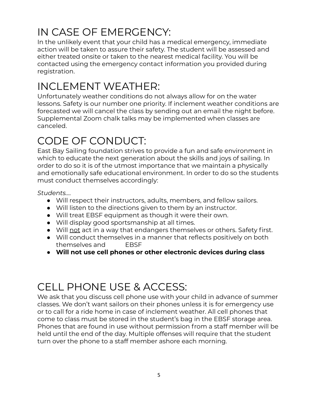# IN CASE OF EMERGENCY:

In the unlikely event that your child has a medical emergency, immediate action will be taken to assure their safety. The student will be assessed and either treated onsite or taken to the nearest medical facility. You will be contacted using the emergency contact information you provided during registration.

# INCLEMENT WEATHER:

Unfortunately weather conditions do not always allow for on the water lessons. Safety is our number one priority. If inclement weather conditions are forecasted we will cancel the class by sending out an email the night before. Supplemental Zoom chalk talks may be implemented when classes are canceled.

# CODE OF CONDUCT:

East Bay Sailing foundation strives to provide a fun and safe environment in which to educate the next generation about the skills and joys of sailing. In order to do so it is of the utmost importance that we maintain a physically and emotionally safe educational environment. In order to do so the students must conduct themselves accordingly:

*Students….*

- Will respect their instructors, adults, members, and fellow sailors.
- Will listen to the directions given to them by an instructor.
- Will treat EBSF equipment as though it were their own.
- Will display good sportsmanship at all times.
- Will not act in a way that endangers themselves or others. Safety first.
- Will conduct themselves in a manner that reflects positively on both themselves and EBSF
- **● Will not use cell phones or other electronic devices during class**

## CELL PHONE USE & ACCESS:

We ask that you discuss cell phone use with your child in advance of summer classes. We don't want sailors on their phones unless it is for emergency use or to call for a ride home in case of inclement weather. All cell phones that come to class must be stored in the student's bag in the EBSF storage area. Phones that are found in use without permission from a staff member will be held until the end of the day. Multiple offenses will require that the student turn over the phone to a staff member ashore each morning.